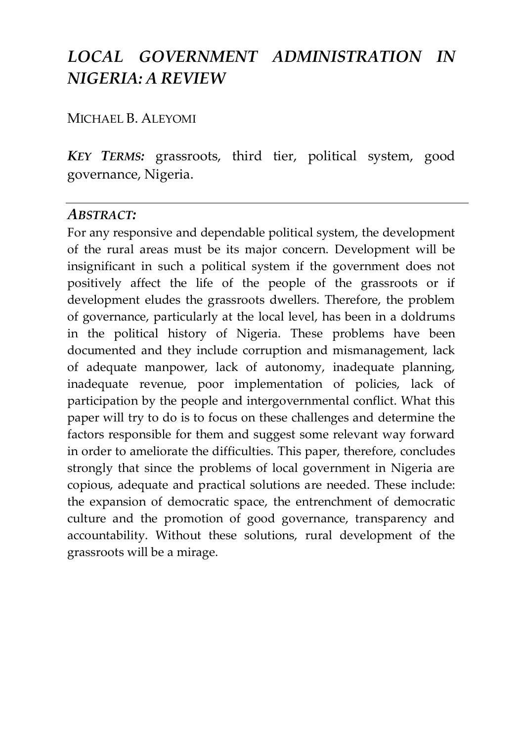# *LOCAL GOVERNMENT ADMINISTRATION IN NIGERIA: A REVIEW*

## MICHAEL B. ALEYOMI

*KEY TERMS:* grassroots, third tier, political system, good governance, Nigeria.

### *ABSTRACT:*

For any responsive and dependable political system, the development of the rural areas must be its major concern. Development will be insignificant in such a political system if the government does not positively affect the life of the people of the grassroots or if development eludes the grassroots dwellers. Therefore, the problem of governance, particularly at the local level, has been in a doldrums in the political history of Nigeria. These problems have been documented and they include corruption and mismanagement, lack of adequate manpower, lack of autonomy, inadequate planning, inadequate revenue, poor implementation of policies, lack of participation by the people and intergovernmental conflict. What this paper will try to do is to focus on these challenges and determine the factors responsible for them and suggest some relevant way forward in order to ameliorate the difficulties. This paper, therefore, concludes strongly that since the problems of local government in Nigeria are copious, adequate and practical solutions are needed. These include: the expansion of democratic space, the entrenchment of democratic culture and the promotion of good governance, transparency and accountability. Without these solutions, rural development of the grassroots will be a mirage.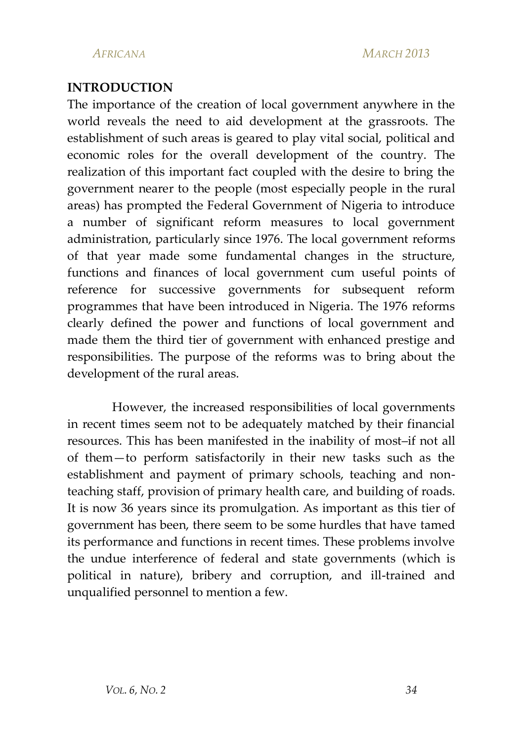#### **INTRODUCTION**

The importance of the creation of local government anywhere in the world reveals the need to aid development at the grassroots. The establishment of such areas is geared to play vital social, political and economic roles for the overall development of the country. The realization of this important fact coupled with the desire to bring the government nearer to the people (most especially people in the rural areas) has prompted the Federal Government of Nigeria to introduce a number of significant reform measures to local government administration, particularly since 1976. The local government reforms of that year made some fundamental changes in the structure, functions and finances of local government cum useful points of reference for successive governments for subsequent reform programmes that have been introduced in Nigeria. The 1976 reforms clearly defined the power and functions of local government and made them the third tier of government with enhanced prestige and responsibilities. The purpose of the reforms was to bring about the development of the rural areas.

However, the increased responsibilities of local governments in recent times seem not to be adequately matched by their financial resources. This has been manifested in the inability of most–if not all of them—to perform satisfactorily in their new tasks such as the establishment and payment of primary schools, teaching and nonteaching staff, provision of primary health care, and building of roads. It is now 36 years since its promulgation. As important as this tier of government has been, there seem to be some hurdles that have tamed its performance and functions in recent times. These problems involve the undue interference of federal and state governments (which is political in nature), bribery and corruption, and ill-trained and unqualified personnel to mention a few.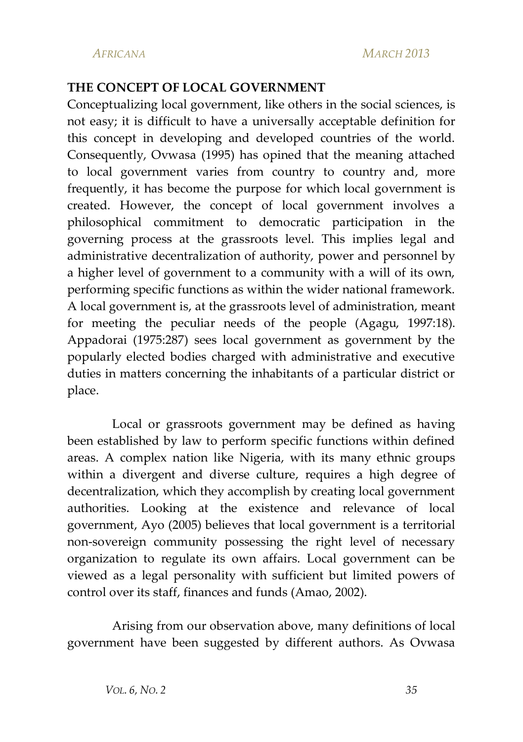#### **THE CONCEPT OF LOCAL GOVERNMENT**

Conceptualizing local government, like others in the social sciences, is not easy; it is difficult to have a universally acceptable definition for this concept in developing and developed countries of the world. Consequently, Ovwasa (1995) has opined that the meaning attached to local government varies from country to country and, more frequently, it has become the purpose for which local government is created. However, the concept of local government involves a philosophical commitment to democratic participation in the governing process at the grassroots level. This implies legal and administrative decentralization of authority, power and personnel by a higher level of government to a community with a will of its own, performing specific functions as within the wider national framework. A local government is, at the grassroots level of administration, meant for meeting the peculiar needs of the people (Agagu, 1997:18). Appadorai (1975:287) sees local government as government by the popularly elected bodies charged with administrative and executive duties in matters concerning the inhabitants of a particular district or place.

Local or grassroots government may be defined as having been established by law to perform specific functions within defined areas. A complex nation like Nigeria, with its many ethnic groups within a divergent and diverse culture, requires a high degree of decentralization, which they accomplish by creating local government authorities. Looking at the existence and relevance of local government, Ayo (2005) believes that local government is a territorial non-sovereign community possessing the right level of necessary organization to regulate its own affairs. Local government can be viewed as a legal personality with sufficient but limited powers of control over its staff, finances and funds (Amao, 2002).

Arising from our observation above, many definitions of local government have been suggested by different authors. As Ovwasa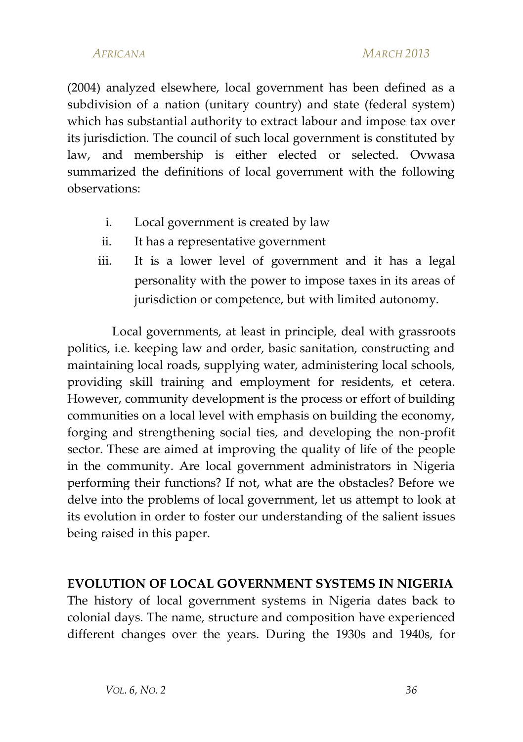(2004) analyzed elsewhere, local government has been defined as a subdivision of a nation (unitary country) and state (federal system) which has substantial authority to extract labour and impose tax over its jurisdiction. The council of such local government is constituted by law, and membership is either elected or selected. Ovwasa summarized the definitions of local government with the following observations:

- i. Local government is created by law
- ii. It has a representative government
- iii. It is a lower level of government and it has a legal personality with the power to impose taxes in its areas of jurisdiction or competence, but with limited autonomy.

Local governments, at least in principle, deal with grassroots politics, i.e. keeping law and order, basic sanitation, constructing and maintaining local roads, supplying water, administering local schools, providing skill training and employment for residents, et cetera. However, community development is the process or effort of building communities on a local level with emphasis on building the economy, forging and strengthening social ties, and developing the non-profit sector. These are aimed at improving the quality of life of the people in the community. Are local government administrators in Nigeria performing their functions? If not, what are the obstacles? Before we delve into the problems of local government, let us attempt to look at its evolution in order to foster our understanding of the salient issues being raised in this paper.

#### **EVOLUTION OF LOCAL GOVERNMENT SYSTEMS IN NIGERIA**

The history of local government systems in Nigeria dates back to colonial days. The name, structure and composition have experienced different changes over the years. During the 1930s and 1940s, for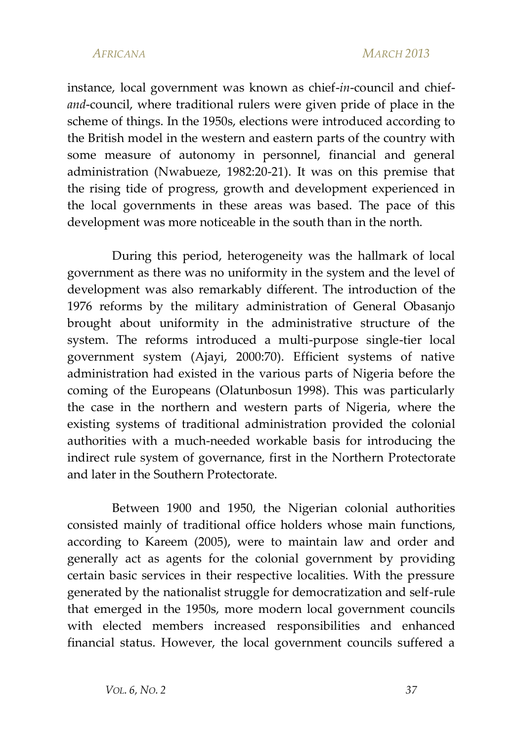instance, local government was known as chief-*in*-council and chief*and*-council, where traditional rulers were given pride of place in the scheme of things. In the 1950s, elections were introduced according to the British model in the western and eastern parts of the country with some measure of autonomy in personnel, financial and general administration (Nwabueze, 1982:20-21). It was on this premise that the rising tide of progress, growth and development experienced in the local governments in these areas was based. The pace of this development was more noticeable in the south than in the north.

During this period, heterogeneity was the hallmark of local government as there was no uniformity in the system and the level of development was also remarkably different. The introduction of the 1976 reforms by the military administration of General Obasanjo brought about uniformity in the administrative structure of the system. The reforms introduced a multi-purpose single-tier local government system (Ajayi, 2000:70). Efficient systems of native administration had existed in the various parts of Nigeria before the coming of the Europeans (Olatunbosun 1998). This was particularly the case in the northern and western parts of Nigeria, where the existing systems of traditional administration provided the colonial authorities with a much-needed workable basis for introducing the indirect rule system of governance, first in the Northern Protectorate and later in the Southern Protectorate.

Between 1900 and 1950, the Nigerian colonial authorities consisted mainly of traditional office holders whose main functions, according to Kareem (2005), were to maintain law and order and generally act as agents for the colonial government by providing certain basic services in their respective localities. With the pressure generated by the nationalist struggle for democratization and self-rule that emerged in the 1950s, more modern local government councils with elected members increased responsibilities and enhanced financial status. However, the local government councils suffered a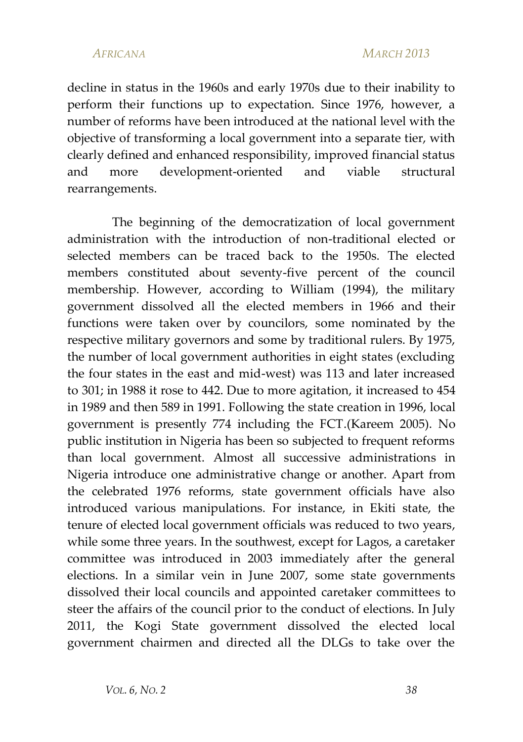decline in status in the 1960s and early 1970s due to their inability to perform their functions up to expectation. Since 1976, however, a number of reforms have been introduced at the national level with the objective of transforming a local government into a separate tier, with clearly defined and enhanced responsibility, improved financial status and more development-oriented and viable structural rearrangements.

The beginning of the democratization of local government administration with the introduction of non-traditional elected or selected members can be traced back to the 1950s. The elected members constituted about seventy-five percent of the council membership. However, according to William (1994), the military government dissolved all the elected members in 1966 and their functions were taken over by councilors, some nominated by the respective military governors and some by traditional rulers. By 1975, the number of local government authorities in eight states (excluding the four states in the east and mid-west) was 113 and later increased to 301; in 1988 it rose to 442. Due to more agitation, it increased to 454 in 1989 and then 589 in 1991. Following the state creation in 1996, local government is presently 774 including the FCT.(Kareem 2005). No public institution in Nigeria has been so subjected to frequent reforms than local government. Almost all successive administrations in Nigeria introduce one administrative change or another. Apart from the celebrated 1976 reforms, state government officials have also introduced various manipulations. For instance, in Ekiti state, the tenure of elected local government officials was reduced to two years, while some three years. In the southwest, except for Lagos, a caretaker committee was introduced in 2003 immediately after the general elections. In a similar vein in June 2007, some state governments dissolved their local councils and appointed caretaker committees to steer the affairs of the council prior to the conduct of elections. In July 2011, the Kogi State government dissolved the elected local government chairmen and directed all the DLGs to take over the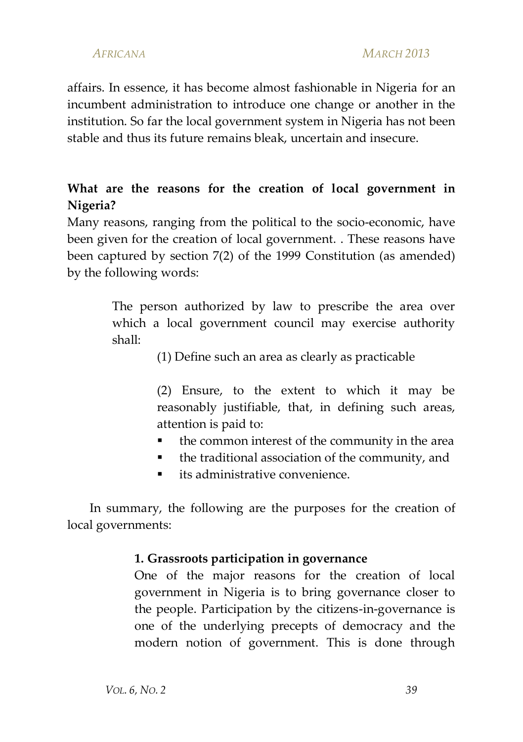affairs. In essence, it has become almost fashionable in Nigeria for an incumbent administration to introduce one change or another in the institution. So far the local government system in Nigeria has not been stable and thus its future remains bleak, uncertain and insecure.

# **What are the reasons for the creation of local government in Nigeria?**

Many reasons, ranging from the political to the socio-economic, have been given for the creation of local government. . These reasons have been captured by section 7(2) of the 1999 Constitution (as amended) by the following words:

> The person authorized by law to prescribe the area over which a local government council may exercise authority shall:

> > (1) Define such an area as clearly as practicable

(2) Ensure, to the extent to which it may be reasonably justifiable, that, in defining such areas, attention is paid to:

- the common interest of the community in the area
- the traditional association of the community, and
- its administrative convenience

In summary, the following are the purposes for the creation of local governments:

#### **1. Grassroots participation in governance**

One of the major reasons for the creation of local government in Nigeria is to bring governance closer to the people. Participation by the citizens-in-governance is one of the underlying precepts of democracy and the modern notion of government. This is done through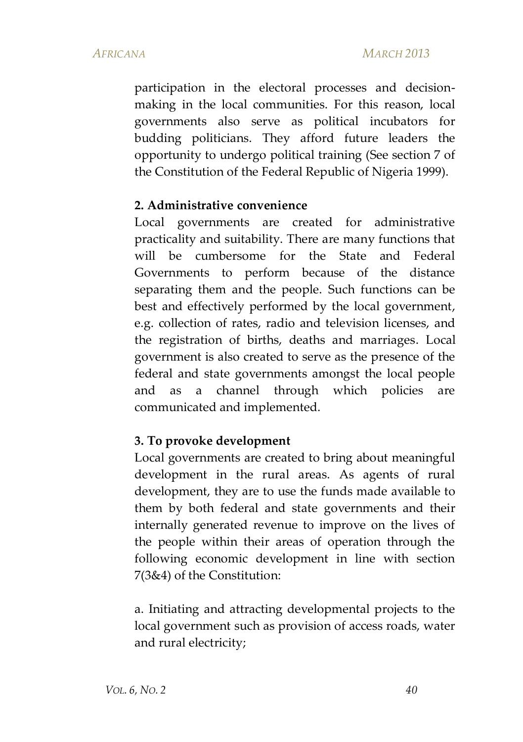participation in the electoral processes and decisionmaking in the local communities. For this reason, local governments also serve as political incubators for budding politicians. They afford future leaders the opportunity to undergo political training (See section 7 of the Constitution of the Federal Republic of Nigeria 1999).

#### **2. Administrative convenience**

Local governments are created for administrative practicality and suitability. There are many functions that will be cumbersome for the State and Federal Governments to perform because of the distance separating them and the people. Such functions can be best and effectively performed by the local government, e.g. collection of rates, radio and television licenses, and the registration of births, deaths and marriages. Local government is also created to serve as the presence of the federal and state governments amongst the local people and as a channel through which policies are communicated and implemented.

### **3. To provoke development**

Local governments are created to bring about meaningful development in the rural areas. As agents of rural development, they are to use the funds made available to them by both federal and state governments and their internally generated revenue to improve on the lives of the people within their areas of operation through the following economic development in line with section 7(3&4) of the Constitution:

a. Initiating and attracting developmental projects to the local government such as provision of access roads, water and rural electricity;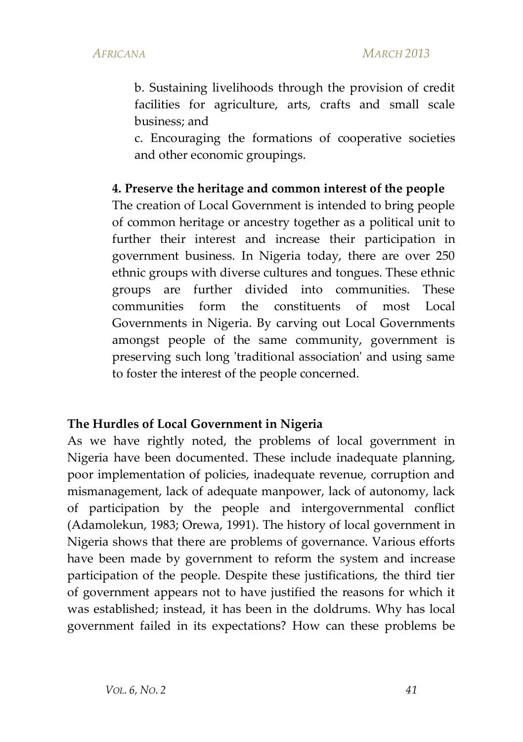b. Sustaining livelihoods through the provision of credit facilities for agriculture, arts, crafts and small scale business; and

c. Encouraging the formations of cooperative societies and other economic groupings.

#### **4. Preserve the heritage and common interest of the people**

The creation of Local Government is intended to bring people of common heritage or ancestry together as a political unit to further their interest and increase their participation in government business. In Nigeria today, there are over 250 ethnic groups with diverse cultures and tongues. These ethnic groups are further divided into communities. These communities form the constituents of most Local Governments in Nigeria. By carving out Local Governments amongst people of the same community, government is preserving such long 'traditional association' and using same to foster the interest of the people concerned.

#### **The Hurdles of Local Government in Nigeria**

As we have rightly noted, the problems of local government in Nigeria have been documented. These include inadequate planning, poor implementation of policies, inadequate revenue, corruption and mismanagement, lack of adequate manpower, lack of autonomy, lack of participation by the people and intergovernmental conflict (Adamolekun, 1983; Orewa, 1991). The history of local government in Nigeria shows that there are problems of governance. Various efforts have been made by government to reform the system and increase participation of the people. Despite these justifications, the third tier of government appears not to have justified the reasons for which it was established; instead, it has been in the doldrums. Why has local government failed in its expectations? How can these problems be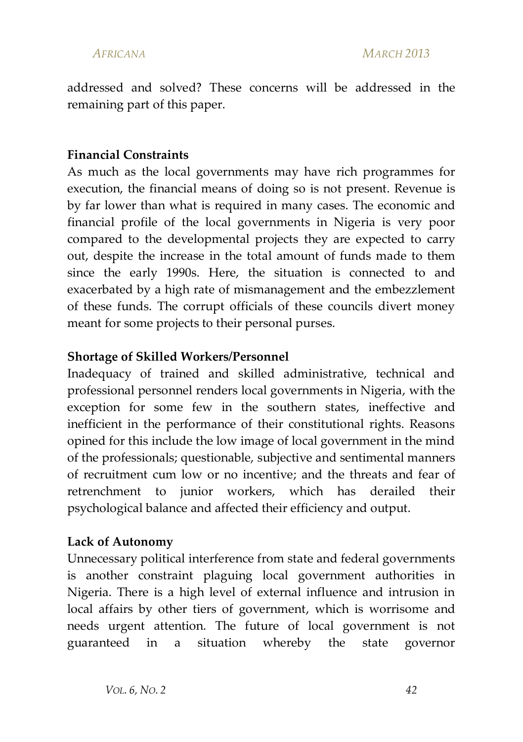addressed and solved? These concerns will be addressed in the remaining part of this paper.

### **Financial Constraints**

As much as the local governments may have rich programmes for execution, the financial means of doing so is not present. Revenue is by far lower than what is required in many cases. The economic and financial profile of the local governments in Nigeria is very poor compared to the developmental projects they are expected to carry out, despite the increase in the total amount of funds made to them since the early 1990s. Here, the situation is connected to and exacerbated by a high rate of mismanagement and the embezzlement of these funds. The corrupt officials of these councils divert money meant for some projects to their personal purses.

#### **Shortage of Skilled Workers/Personnel**

Inadequacy of trained and skilled administrative, technical and professional personnel renders local governments in Nigeria, with the exception for some few in the southern states, ineffective and inefficient in the performance of their constitutional rights. Reasons opined for this include the low image of local government in the mind of the professionals; questionable, subjective and sentimental manners of recruitment cum low or no incentive; and the threats and fear of retrenchment to junior workers, which has derailed their psychological balance and affected their efficiency and output.

### **Lack of Autonomy**

Unnecessary political interference from state and federal governments is another constraint plaguing local government authorities in Nigeria. There is a high level of external influence and intrusion in local affairs by other tiers of government, which is worrisome and needs urgent attention. The future of local government is not guaranteed in a situation whereby the state governor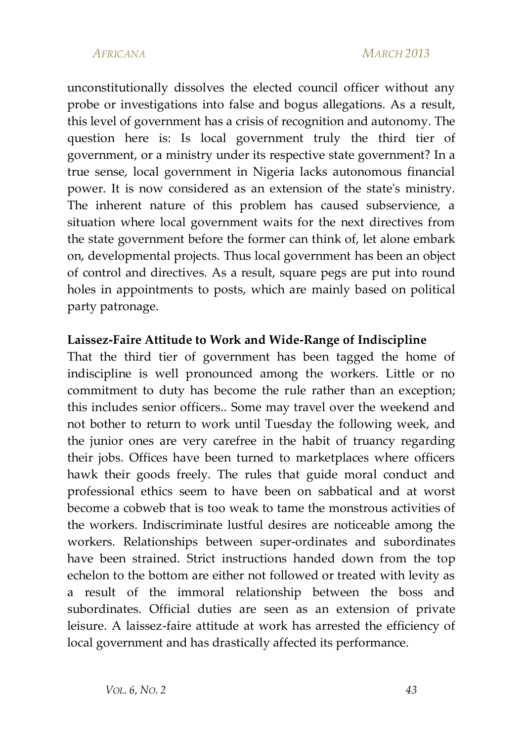unconstitutionally dissolves the elected council officer without any probe or investigations into false and bogus allegations. As a result, this level of government has a crisis of recognition and autonomy. The question here is: Is local government truly the third tier of government, or a ministry under its respective state government? In a true sense, local government in Nigeria lacks autonomous financial power. It is now considered as an extension of the state's ministry. The inherent nature of this problem has caused subservience, a situation where local government waits for the next directives from the state government before the former can think of, let alone embark on, developmental projects. Thus local government has been an object of control and directives. As a result, square pegs are put into round holes in appointments to posts, which are mainly based on political party patronage.

#### **Laissez-Faire Attitude to Work and Wide-Range of Indiscipline**

That the third tier of government has been tagged the home of indiscipline is well pronounced among the workers. Little or no commitment to duty has become the rule rather than an exception; this includes senior officers.. Some may travel over the weekend and not bother to return to work until Tuesday the following week, and the junior ones are very carefree in the habit of truancy regarding their jobs. Offices have been turned to marketplaces where officers hawk their goods freely. The rules that guide moral conduct and professional ethics seem to have been on sabbatical and at worst become a cobweb that is too weak to tame the monstrous activities of the workers. Indiscriminate lustful desires are noticeable among the workers. Relationships between super-ordinates and subordinates have been strained. Strict instructions handed down from the top echelon to the bottom are either not followed or treated with levity as a result of the immoral relationship between the boss and subordinates. Official duties are seen as an extension of private leisure. A laissez-faire attitude at work has arrested the efficiency of local government and has drastically affected its performance.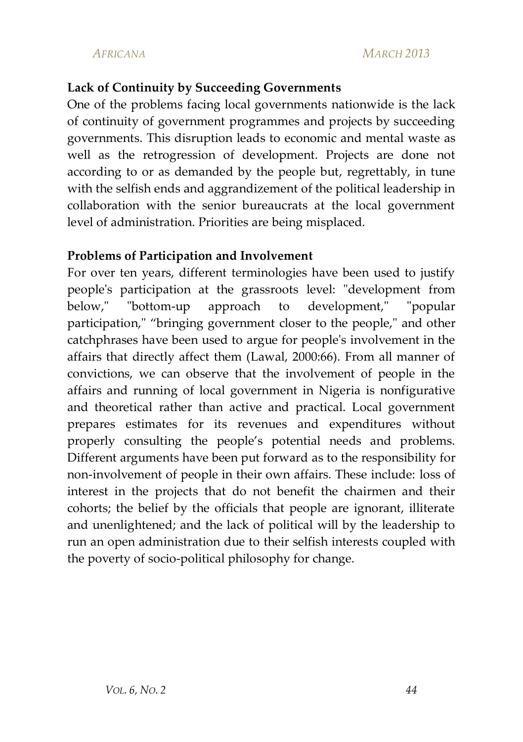### **Lack of Continuity by Succeeding Governments**

One of the problems facing local governments nationwide is the lack of continuity of government programmes and projects by succeeding governments. This disruption leads to economic and mental waste as well as the retrogression of development. Projects are done not according to or as demanded by the people but, regrettably, in tune with the selfish ends and aggrandizement of the political leadership in collaboration with the senior bureaucrats at the local government level of administration. Priorities are being misplaced.

### **Problems of Participation and Involvement**

For over ten years, different terminologies have been used to justify people's participation at the grassroots level: "development from below," "bottom-up approach to development," "popular participation," "bringing government closer to the people," and other catchphrases have been used to argue for people's involvement in the affairs that directly affect them (Lawal, 2000:66). From all manner of convictions, we can observe that the involvement of people in the affairs and running of local government in Nigeria is nonfigurative and theoretical rather than active and practical. Local government prepares estimates for its revenues and expenditures without properly consulting the people's potential needs and problems. Different arguments have been put forward as to the responsibility for non-involvement of people in their own affairs. These include: loss of interest in the projects that do not benefit the chairmen and their cohorts; the belief by the officials that people are ignorant, illiterate and unenlightened; and the lack of political will by the leadership to run an open administration due to their selfish interests coupled with the poverty of socio-political philosophy for change.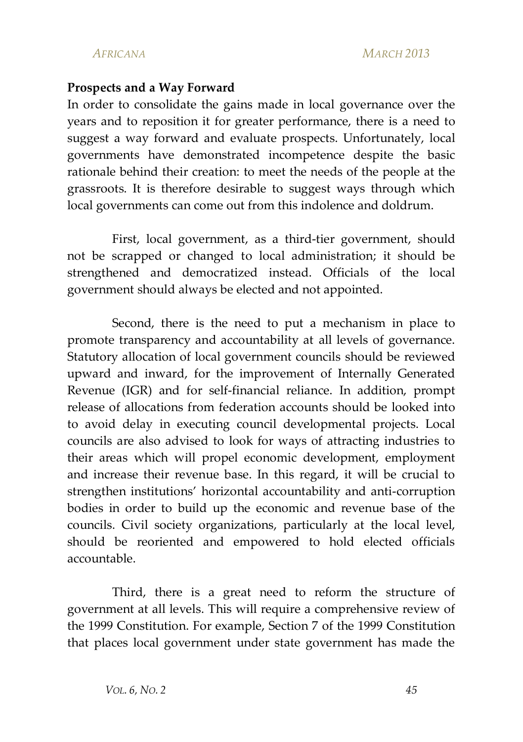#### **Prospects and a Way Forward**

In order to consolidate the gains made in local governance over the years and to reposition it for greater performance, there is a need to suggest a way forward and evaluate prospects. Unfortunately, local governments have demonstrated incompetence despite the basic rationale behind their creation: to meet the needs of the people at the grassroots. It is therefore desirable to suggest ways through which local governments can come out from this indolence and doldrum.

First, local government, as a third-tier government, should not be scrapped or changed to local administration; it should be strengthened and democratized instead. Officials of the local government should always be elected and not appointed.

Second, there is the need to put a mechanism in place to promote transparency and accountability at all levels of governance. Statutory allocation of local government councils should be reviewed upward and inward, for the improvement of Internally Generated Revenue (IGR) and for self-financial reliance. In addition, prompt release of allocations from federation accounts should be looked into to avoid delay in executing council developmental projects. Local councils are also advised to look for ways of attracting industries to their areas which will propel economic development, employment and increase their revenue base. In this regard, it will be crucial to strengthen institutions' horizontal accountability and anti-corruption bodies in order to build up the economic and revenue base of the councils. Civil society organizations, particularly at the local level, should be reoriented and empowered to hold elected officials accountable.

Third, there is a great need to reform the structure of government at all levels. This will require a comprehensive review of the 1999 Constitution. For example, Section 7 of the 1999 Constitution that places local government under state government has made the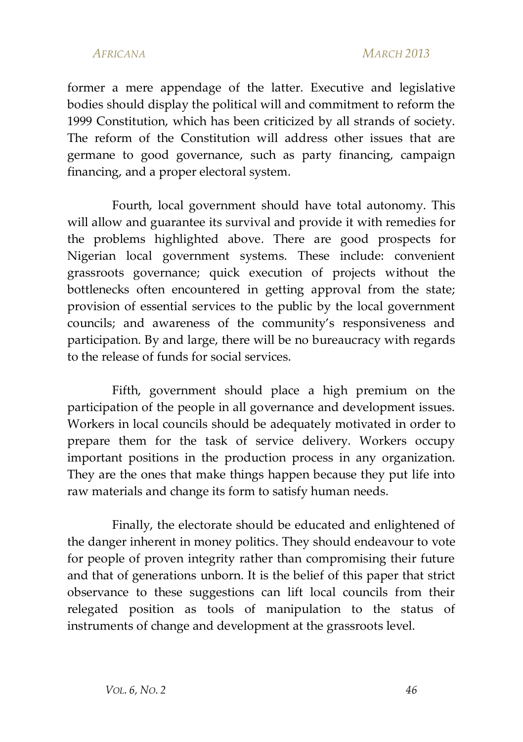#### *AFRICANA MARCH 2013*

former a mere appendage of the latter. Executive and legislative bodies should display the political will and commitment to reform the 1999 Constitution, which has been criticized by all strands of society. The reform of the Constitution will address other issues that are germane to good governance, such as party financing, campaign financing, and a proper electoral system.

Fourth, local government should have total autonomy. This will allow and guarantee its survival and provide it with remedies for the problems highlighted above. There are good prospects for Nigerian local government systems. These include: convenient grassroots governance; quick execution of projects without the bottlenecks often encountered in getting approval from the state; provision of essential services to the public by the local government councils; and awareness of the community's responsiveness and participation. By and large, there will be no bureaucracy with regards to the release of funds for social services.

Fifth, government should place a high premium on the participation of the people in all governance and development issues. Workers in local councils should be adequately motivated in order to prepare them for the task of service delivery. Workers occupy important positions in the production process in any organization. They are the ones that make things happen because they put life into raw materials and change its form to satisfy human needs.

Finally, the electorate should be educated and enlightened of the danger inherent in money politics. They should endeavour to vote for people of proven integrity rather than compromising their future and that of generations unborn. It is the belief of this paper that strict observance to these suggestions can lift local councils from their relegated position as tools of manipulation to the status of instruments of change and development at the grassroots level.